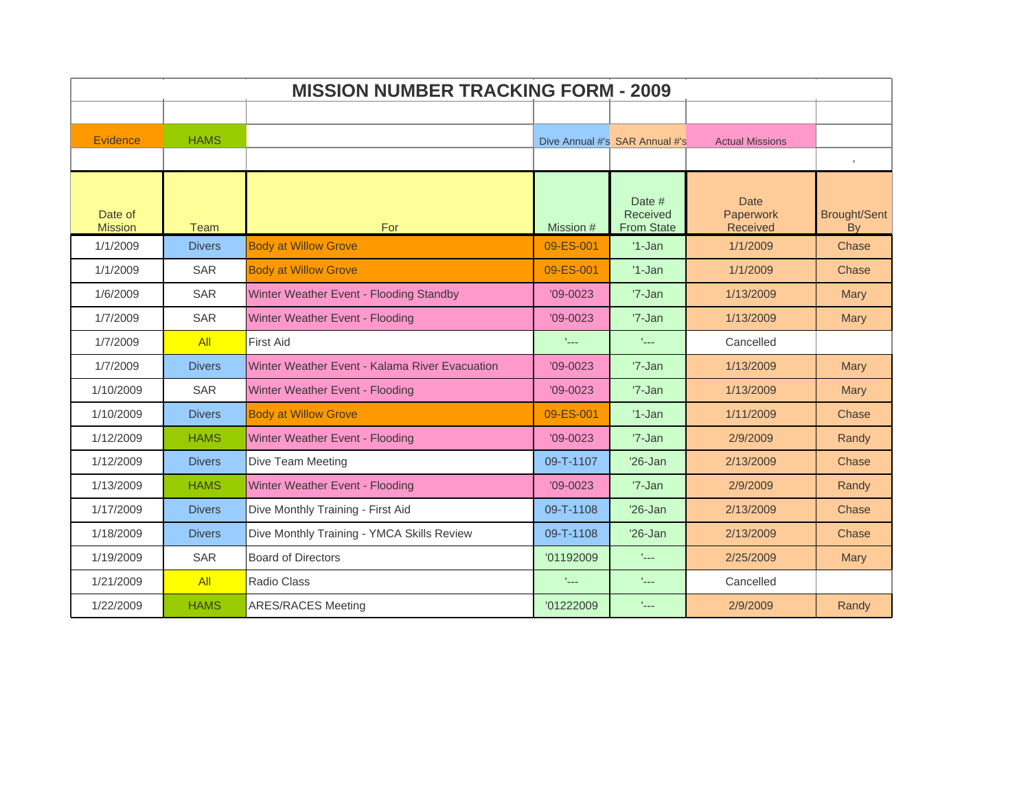| <b>MISSION NUMBER TRACKING FORM - 2009</b> |               |                                                |                            |                                         |                                             |                           |  |
|--------------------------------------------|---------------|------------------------------------------------|----------------------------|-----------------------------------------|---------------------------------------------|---------------------------|--|
|                                            |               |                                                |                            |                                         |                                             |                           |  |
| Evidence                                   | <b>HAMS</b>   |                                                |                            | Dive Annual #'s SAR Annual #'s          | <b>Actual Missions</b>                      |                           |  |
|                                            |               |                                                |                            |                                         |                                             | $\mathbf{I}$              |  |
| Date of<br><b>Mission</b>                  | <b>Team</b>   | For                                            | Mission #                  | Date #<br>Received<br><b>From State</b> | <b>Date</b><br>Paperwork<br><b>Received</b> | <b>Brought/Sent</b><br>By |  |
| 1/1/2009                                   | <b>Divers</b> | <b>Body at Willow Grove</b>                    | 09-ES-001                  | $'1-Jan$                                | 1/1/2009                                    | Chase                     |  |
| 1/1/2009                                   | <b>SAR</b>    | <b>Body at Willow Grove</b>                    | 09-ES-001                  | $'1-Jan$                                | 1/1/2009                                    | Chase                     |  |
| 1/6/2009                                   | <b>SAR</b>    | Winter Weather Event - Flooding Standby        | $'09 - 0023$               | $'7$ -Jan                               | 1/13/2009                                   | <b>Mary</b>               |  |
| 1/7/2009                                   | <b>SAR</b>    | Winter Weather Event - Flooding                | $'09 - 0023$               | '7-Jan                                  | 1/13/2009                                   | <b>Mary</b>               |  |
| 1/7/2009                                   | All           | <b>First Aid</b>                               | $\mathcal{L}_{\text{max}}$ | $\mathcal{L}_{\text{max}}$              | Cancelled                                   |                           |  |
| 1/7/2009                                   | <b>Divers</b> | Winter Weather Event - Kalama River Evacuation | $'09 - 0023$               | $'7$ -Jan                               | 1/13/2009                                   | <b>Mary</b>               |  |
| 1/10/2009                                  | SAR           | Winter Weather Event - Flooding                | $'09 - 0023$               | '7-Jan                                  | 1/13/2009                                   | Mary                      |  |
| 1/10/2009                                  | <b>Divers</b> | <b>Body at Willow Grove</b>                    | 09-ES-001                  | $'1$ -Jan                               | 1/11/2009                                   | Chase                     |  |
| 1/12/2009                                  | <b>HAMS</b>   | Winter Weather Event - Flooding                | $'09-0023$                 | '7-Jan                                  | 2/9/2009                                    | Randy                     |  |
| 1/12/2009                                  | <b>Divers</b> | Dive Team Meeting                              | 09-T-1107                  | $'26$ -Jan                              | 2/13/2009                                   | Chase                     |  |
| 1/13/2009                                  | <b>HAMS</b>   | Winter Weather Event - Flooding                | $'09-0023$                 | '7-Jan                                  | 2/9/2009                                    | Randy                     |  |
| 1/17/2009                                  | <b>Divers</b> | Dive Monthly Training - First Aid              | 09-T-1108                  | $'26$ -Jan                              | 2/13/2009                                   | Chase                     |  |
| 1/18/2009                                  | <b>Divers</b> | Dive Monthly Training - YMCA Skills Review     | 09-T-1108                  | $'26$ -Jan                              | 2/13/2009                                   | Chase                     |  |
| 1/19/2009                                  | <b>SAR</b>    | <b>Board of Directors</b>                      | '01192009                  | tical.                                  | 2/25/2009                                   | <b>Mary</b>               |  |
| 1/21/2009                                  | All           | Radio Class                                    | $L_{\rm max}$              | $L_{\rm max}$                           | Cancelled                                   |                           |  |
| 1/22/2009                                  | <b>HAMS</b>   | <b>ARES/RACES Meeting</b>                      | '01222009                  | t <sub>ana</sub>                        | 2/9/2009                                    | Randy                     |  |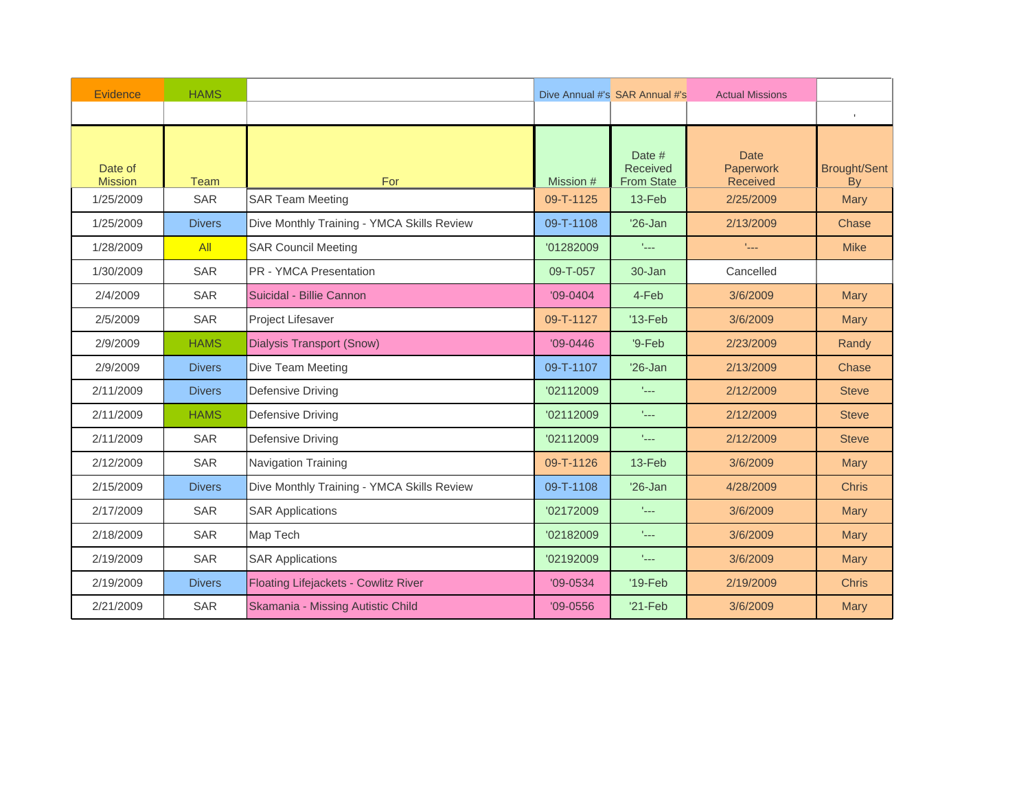| Evidence                  | <b>HAMS</b>   |                                             |            | Dive Annual #'s SAR Annual #'s<br><b>Actual Missions</b> |                                      |                                  |
|---------------------------|---------------|---------------------------------------------|------------|----------------------------------------------------------|--------------------------------------|----------------------------------|
|                           |               |                                             |            |                                                          |                                      | $\mathbb{L}$                     |
| Date of<br><b>Mission</b> | Team          | For                                         | Mission #  | Date #<br>Received<br><b>From State</b>                  | <b>Date</b><br>Paperwork<br>Received | <b>Brought/Sent</b><br><b>By</b> |
| 1/25/2009                 | <b>SAR</b>    | <b>SAR Team Meeting</b>                     | 09-T-1125  | 13-Feb                                                   | 2/25/2009                            | <b>Mary</b>                      |
| 1/25/2009                 | <b>Divers</b> | Dive Monthly Training - YMCA Skills Review  | 09-T-1108  | $'26$ -Jan                                               | 2/13/2009                            | Chase                            |
| 1/28/2009                 | All           | <b>SAR Council Meeting</b>                  | '01282009  | $\mathbb{L}_{\text{max}}$                                | t <sub>an</sub>                      | <b>Mike</b>                      |
| 1/30/2009                 | <b>SAR</b>    | <b>PR - YMCA Presentation</b>               | 09-T-057   | $30 - Jan$                                               | Cancelled                            |                                  |
| 2/4/2009                  | <b>SAR</b>    | Suicidal - Billie Cannon                    | $'09-0404$ | 4-Feb                                                    | 3/6/2009                             | <b>Mary</b>                      |
| 2/5/2009                  | <b>SAR</b>    | Project Lifesaver                           | 09-T-1127  | $'13-Feb$                                                | 3/6/2009                             | Mary                             |
| 2/9/2009                  | <b>HAMS</b>   | <b>Dialysis Transport (Snow)</b>            | $'09-0446$ | $9-Feb$                                                  | 2/23/2009                            | Randy                            |
| 2/9/2009                  | <b>Divers</b> | Dive Team Meeting                           | 09-T-1107  | $'26$ -Jan                                               | 2/13/2009                            | Chase                            |
| 2/11/2009                 | <b>Divers</b> | Defensive Driving                           | '02112009  | face.                                                    | 2/12/2009                            | <b>Steve</b>                     |
| 2/11/2009                 | <b>HAMS</b>   | Defensive Driving                           | '02112009  | face.                                                    | 2/12/2009                            | <b>Steve</b>                     |
| 2/11/2009                 | <b>SAR</b>    | Defensive Driving                           | '02112009  | $\mathbb{L}_{\text{max}}$                                | 2/12/2009                            | <b>Steve</b>                     |
| 2/12/2009                 | <b>SAR</b>    | Navigation Training                         | 09-T-1126  | $13-Feb$                                                 | 3/6/2009                             | Mary                             |
| 2/15/2009                 | <b>Divers</b> | Dive Monthly Training - YMCA Skills Review  | 09-T-1108  | $'26$ -Jan                                               | 4/28/2009                            | <b>Chris</b>                     |
| 2/17/2009                 | <b>SAR</b>    | <b>SAR Applications</b>                     | '02172009  | $\mathbb{L}_{\text{max}}$                                | 3/6/2009                             | <b>Mary</b>                      |
| 2/18/2009                 | <b>SAR</b>    | Map Tech                                    | '02182009  | face.                                                    | 3/6/2009                             | <b>Mary</b>                      |
| 2/19/2009                 | <b>SAR</b>    | <b>SAR Applications</b>                     | '02192009  | faas.                                                    | 3/6/2009                             | <b>Mary</b>                      |
| 2/19/2009                 | <b>Divers</b> | <b>Floating Lifejackets - Cowlitz River</b> | $'09-0534$ | $'19-Feb$                                                | 2/19/2009                            | <b>Chris</b>                     |
| 2/21/2009                 | <b>SAR</b>    | Skamania - Missing Autistic Child           | $'09-0556$ | $'21-Feb$                                                | 3/6/2009                             | <b>Mary</b>                      |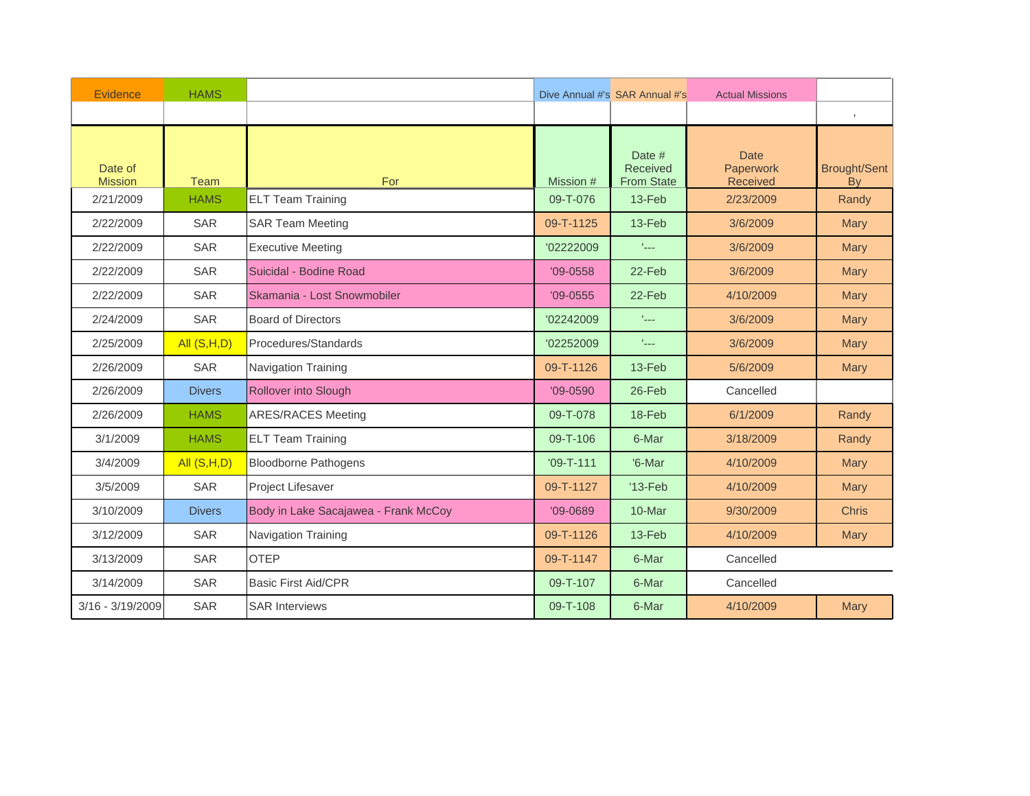| Evidence                  | <b>HAMS</b>   |                                      | Dive Annual #'s SAR Annual #'s<br><b>Actual Missions</b> |                                         |                                      |                                  |
|---------------------------|---------------|--------------------------------------|----------------------------------------------------------|-----------------------------------------|--------------------------------------|----------------------------------|
|                           |               |                                      |                                                          |                                         |                                      | $\mathbb{L}$                     |
| Date of<br><b>Mission</b> | Team          | For                                  | Mission #                                                | Date #<br>Received<br><b>From State</b> | <b>Date</b><br>Paperwork<br>Received | <b>Brought/Sent</b><br><b>By</b> |
| 2/21/2009                 | <b>HAMS</b>   | <b>ELT Team Training</b>             | 09-T-076                                                 | 13-Feb                                  | 2/23/2009                            | Randy                            |
| 2/22/2009                 | <b>SAR</b>    | <b>SAR Team Meeting</b>              | 09-T-1125                                                | 13-Feb                                  | 3/6/2009                             | <b>Mary</b>                      |
| 2/22/2009                 | <b>SAR</b>    | <b>Executive Meeting</b>             | '02222009                                                | t <sub>an</sub>                         | 3/6/2009                             | Mary                             |
| 2/22/2009                 | <b>SAR</b>    | Suicidal - Bodine Road               | $'09 - 0558$                                             | 22-Feb                                  | 3/6/2009                             | Mary                             |
| 2/22/2009                 | <b>SAR</b>    | Skamania - Lost Snowmobiler          | $'09-0555$                                               | 22-Feb                                  | 4/10/2009                            | <b>Mary</b>                      |
| 2/24/2009                 | <b>SAR</b>    | <b>Board of Directors</b>            | '02242009                                                | t <sub>an</sub>                         | 3/6/2009                             | Mary                             |
| 2/25/2009                 | All $(S,H,D)$ | Procedures/Standards                 | '02252009                                                | $L_{\rm max}$                           | 3/6/2009                             | <b>Mary</b>                      |
| 2/26/2009                 | <b>SAR</b>    | <b>Navigation Training</b>           | 09-T-1126                                                | $13-Feb$                                | 5/6/2009                             | <b>Mary</b>                      |
| 2/26/2009                 | <b>Divers</b> | Rollover into Slough                 | $'09-0590$                                               | 26-Feb                                  | Cancelled                            |                                  |
| 2/26/2009                 | <b>HAMS</b>   | <b>ARES/RACES Meeting</b>            | 09-T-078                                                 | 18-Feb                                  | 6/1/2009                             | Randy                            |
| 3/1/2009                  | <b>HAMS</b>   | <b>ELT Team Training</b>             | 09-T-106                                                 | 6-Mar                                   | 3/18/2009                            | Randy                            |
| 3/4/2009                  | All $(S,H,D)$ | <b>Bloodborne Pathogens</b>          | $'09 - T - 111$                                          | '6-Mar                                  | 4/10/2009                            | <b>Mary</b>                      |
| 3/5/2009                  | <b>SAR</b>    | Project Lifesaver                    | 09-T-1127                                                | $'13-Feb$                               | 4/10/2009                            | <b>Mary</b>                      |
| 3/10/2009                 | <b>Divers</b> | Body in Lake Sacajawea - Frank McCoy | $'09-0689$                                               | 10-Mar                                  | 9/30/2009                            | <b>Chris</b>                     |
| 3/12/2009                 | <b>SAR</b>    | Navigation Training                  | 09-T-1126                                                | 13-Feb                                  | 4/10/2009                            | <b>Mary</b>                      |
| 3/13/2009                 | <b>SAR</b>    | <b>OTEP</b>                          | 09-T-1147                                                | 6-Mar                                   | Cancelled                            |                                  |
| 3/14/2009                 | SAR           | <b>Basic First Aid/CPR</b>           | 09-T-107                                                 | 6-Mar                                   | Cancelled                            |                                  |
| $3/16 - 3/19/2009$        | <b>SAR</b>    | <b>SAR Interviews</b>                | 09-T-108                                                 | 6-Mar                                   | 4/10/2009                            | <b>Mary</b>                      |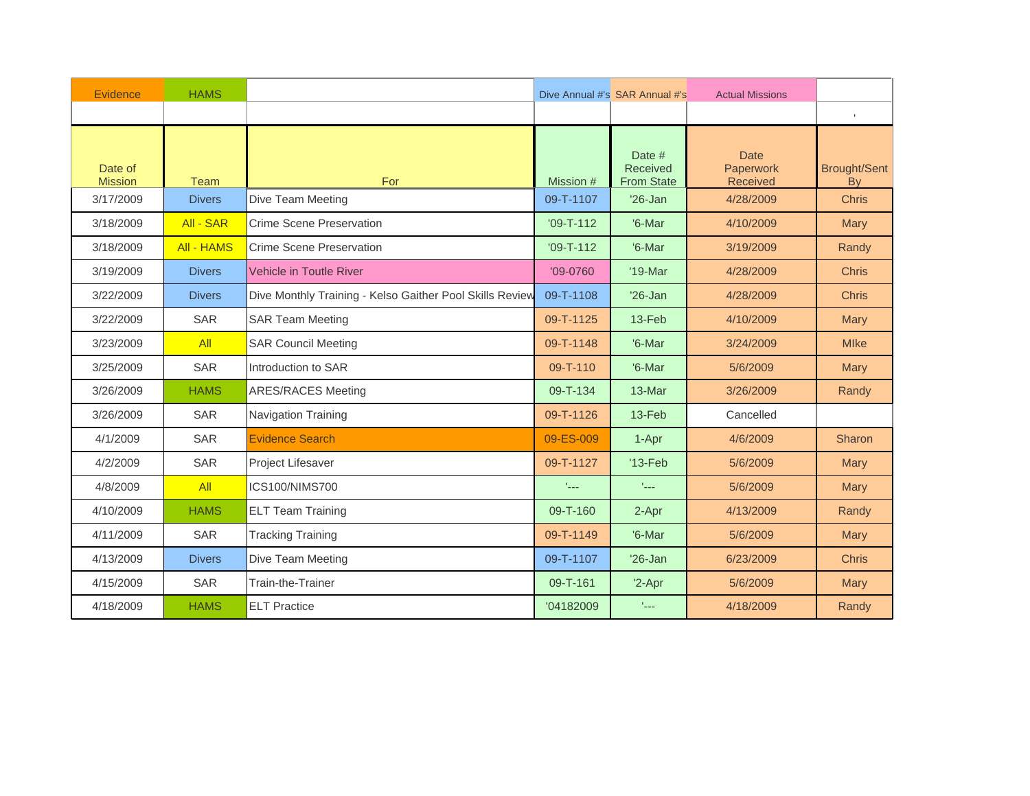| Evidence                  | <b>HAMS</b>       |                                                          | Dive Annual #'s SAR Annual #'s<br><b>Actual Missions</b> |                                         |                                             |                           |
|---------------------------|-------------------|----------------------------------------------------------|----------------------------------------------------------|-----------------------------------------|---------------------------------------------|---------------------------|
|                           |                   |                                                          |                                                          |                                         |                                             | $\mathbb{L}$              |
| Date of<br><b>Mission</b> | Team              | For                                                      | Mission #                                                | Date #<br>Received<br><b>From State</b> | <b>Date</b><br>Paperwork<br><b>Received</b> | <b>Brought/Sent</b><br>By |
| 3/17/2009                 | <b>Divers</b>     | Dive Team Meeting                                        | 09-T-1107                                                | $'26$ -Jan                              | 4/28/2009                                   | <b>Chris</b>              |
| 3/18/2009                 | All - SAR         | Crime Scene Preservation                                 | $'09 - T - 112$                                          | '6-Mar                                  | 4/10/2009                                   | <b>Mary</b>               |
| 3/18/2009                 | <b>All - HAMS</b> | <b>Crime Scene Preservation</b>                          | $'09-T-112$                                              | '6-Mar                                  | 3/19/2009                                   | Randy                     |
| 3/19/2009                 | <b>Divers</b>     | Vehicle in Toutle River                                  | $'09-0760$                                               | '19-Mar                                 | 4/28/2009                                   | <b>Chris</b>              |
| 3/22/2009                 | <b>Divers</b>     | Dive Monthly Training - Kelso Gaither Pool Skills Review | 09-T-1108                                                | $'26$ -Jan                              | 4/28/2009                                   | <b>Chris</b>              |
| 3/22/2009                 | SAR               | <b>SAR Team Meeting</b>                                  | 09-T-1125                                                | $13-Feb$                                | 4/10/2009                                   | Mary                      |
| 3/23/2009                 | AII               | <b>SAR Council Meeting</b>                               | 09-T-1148                                                | '6-Mar                                  | 3/24/2009                                   | <b>MIke</b>               |
| 3/25/2009                 | <b>SAR</b>        | Introduction to SAR                                      | 09-T-110                                                 | '6-Mar                                  | 5/6/2009                                    | <b>Mary</b>               |
| 3/26/2009                 | <b>HAMS</b>       | <b>ARES/RACES Meeting</b>                                | 09-T-134                                                 | 13-Mar                                  | 3/26/2009                                   | Randy                     |
| 3/26/2009                 | <b>SAR</b>        | Navigation Training                                      | 09-T-1126                                                | 13-Feb                                  | Cancelled                                   |                           |
| 4/1/2009                  | SAR               | <b>Evidence Search</b>                                   | 09-ES-009                                                | 1-Apr                                   | 4/6/2009                                    | Sharon                    |
| 4/2/2009                  | <b>SAR</b>        | Project Lifesaver                                        | 09-T-1127                                                | $'13-Feb$                               | 5/6/2009                                    | Mary                      |
| 4/8/2009                  | All               | ICS100/NIMS700                                           | Albert                                                   | face.                                   | 5/6/2009                                    | <b>Mary</b>               |
| 4/10/2009                 | <b>HAMS</b>       | <b>ELT Team Training</b>                                 | 09-T-160                                                 | 2-Apr                                   | 4/13/2009                                   | Randy                     |
| 4/11/2009                 | <b>SAR</b>        | <b>Tracking Training</b>                                 | 09-T-1149                                                | '6-Mar                                  | 5/6/2009                                    | <b>Mary</b>               |
| 4/13/2009                 | <b>Divers</b>     | Dive Team Meeting                                        | 09-T-1107                                                | $'26$ -Jan                              | 6/23/2009                                   | <b>Chris</b>              |
| 4/15/2009                 | <b>SAR</b>        | Train-the-Trainer                                        | 09-T-161                                                 | '2-Apr                                  | 5/6/2009                                    | <b>Mary</b>               |
| 4/18/2009                 | <b>HAMS</b>       | <b>ELT Practice</b>                                      | '04182009                                                | $\mathcal{L}_{\text{max}}$              | 4/18/2009                                   | Randy                     |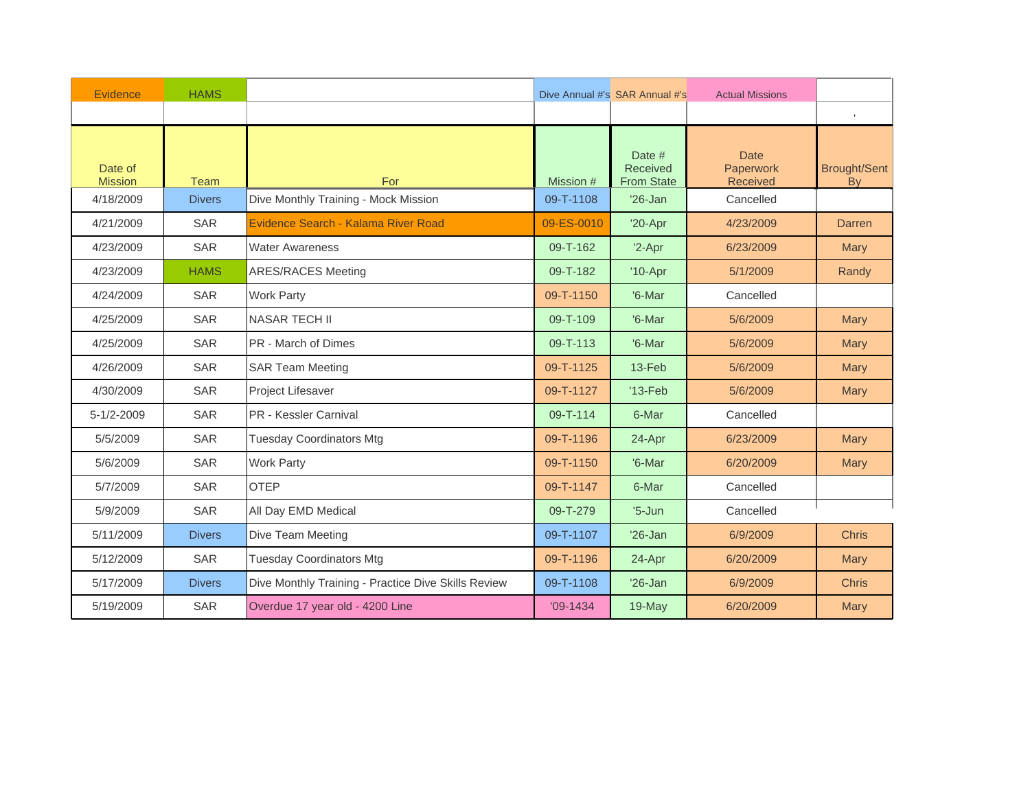| Evidence                  | <b>HAMS</b>   |                                                     | Dive Annual #'s SAR Annual #'s<br><b>Actual Missions</b> |                                         |                                      |                           |
|---------------------------|---------------|-----------------------------------------------------|----------------------------------------------------------|-----------------------------------------|--------------------------------------|---------------------------|
|                           |               |                                                     |                                                          |                                         |                                      | $\mathbb{L}$              |
| Date of<br><b>Mission</b> | Team          | For                                                 | Mission #                                                | Date #<br>Received<br><b>From State</b> | <b>Date</b><br>Paperwork<br>Received | <b>Brought/Sent</b><br>By |
| 4/18/2009                 | <b>Divers</b> | Dive Monthly Training - Mock Mission                | 09-T-1108                                                | $'26$ -Jan                              | Cancelled                            |                           |
| 4/21/2009                 | <b>SAR</b>    | Evidence Search - Kalama River Road                 | 09-ES-0010                                               | $'20-Apr$                               | 4/23/2009                            | <b>Darren</b>             |
| 4/23/2009                 | <b>SAR</b>    | <b>Water Awareness</b>                              | 09-T-162                                                 | $'2-Apr$                                | 6/23/2009                            | <b>Mary</b>               |
| 4/23/2009                 | <b>HAMS</b>   | <b>ARES/RACES Meeting</b>                           | 09-T-182                                                 | $'10-Apr$                               | 5/1/2009                             | Randy                     |
| 4/24/2009                 | <b>SAR</b>    | <b>Work Party</b>                                   | 09-T-1150                                                | '6-Mar                                  | Cancelled                            |                           |
| 4/25/2009                 | <b>SAR</b>    | <b>NASAR TECH II</b>                                | 09-T-109                                                 | '6-Mar                                  | 5/6/2009                             | Mary                      |
| 4/25/2009                 | <b>SAR</b>    | <b>PR</b> - March of Dimes                          | 09-T-113                                                 | '6-Mar                                  | 5/6/2009                             | Mary                      |
| 4/26/2009                 | <b>SAR</b>    | <b>SAR Team Meeting</b>                             | 09-T-1125                                                | 13-Feb                                  | 5/6/2009                             | <b>Mary</b>               |
| 4/30/2009                 | SAR           | Project Lifesaver                                   | 09-T-1127                                                | $'13-Feb$                               | 5/6/2009                             | Mary                      |
| 5-1/2-2009                | <b>SAR</b>    | <b>PR</b> - Kessler Carnival                        | 09-T-114                                                 | 6-Mar                                   | Cancelled                            |                           |
| 5/5/2009                  | <b>SAR</b>    | <b>Tuesday Coordinators Mtg</b>                     | 09-T-1196                                                | 24-Apr                                  | 6/23/2009                            | <b>Mary</b>               |
| 5/6/2009                  | <b>SAR</b>    | <b>Work Party</b>                                   | 09-T-1150                                                | '6-Mar                                  | 6/20/2009                            | <b>Mary</b>               |
| 5/7/2009                  | <b>SAR</b>    | OTFP                                                | 09-T-1147                                                | 6-Mar                                   | Cancelled                            |                           |
| 5/9/2009                  | <b>SAR</b>    | All Day EMD Medical                                 | 09-T-279                                                 | $'5$ -Jun                               | Cancelled                            |                           |
| 5/11/2009                 | <b>Divers</b> | Dive Team Meeting                                   | 09-T-1107                                                | $'26$ -Jan                              | 6/9/2009                             | <b>Chris</b>              |
| 5/12/2009                 | <b>SAR</b>    | <b>Tuesday Coordinators Mtg</b>                     | 09-T-1196                                                | 24-Apr                                  | 6/20/2009                            | <b>Mary</b>               |
| 5/17/2009                 | <b>Divers</b> | Dive Monthly Training - Practice Dive Skills Review | 09-T-1108                                                | $'26$ -Jan                              | 6/9/2009                             | <b>Chris</b>              |
| 5/19/2009                 | SAR           | Overdue 17 year old - 4200 Line                     | $'09-1434$                                               | 19-May                                  | 6/20/2009                            | <b>Mary</b>               |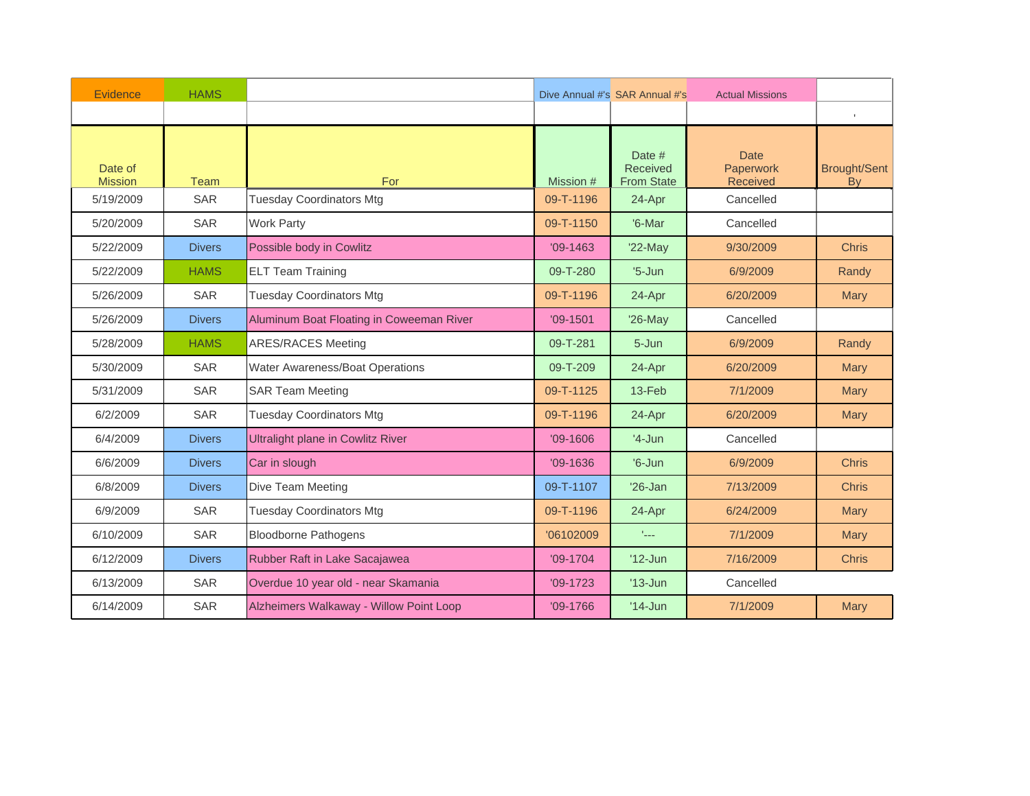| Evidence                  | <b>HAMS</b>   |                                          |            | Dive Annual #'s SAR Annual #'s          | <b>Actual Missions</b>               |                                  |
|---------------------------|---------------|------------------------------------------|------------|-----------------------------------------|--------------------------------------|----------------------------------|
|                           |               |                                          |            |                                         |                                      | $\mathbb{L}$                     |
| Date of<br><b>Mission</b> | <b>Team</b>   | For                                      | Mission #  | Date #<br>Received<br><b>From State</b> | <b>Date</b><br>Paperwork<br>Received | <b>Brought/Sent</b><br><b>By</b> |
| 5/19/2009                 | <b>SAR</b>    | <b>Tuesday Coordinators Mtg</b>          | 09-T-1196  | 24-Apr                                  | Cancelled                            |                                  |
| 5/20/2009                 | <b>SAR</b>    | <b>Work Party</b>                        | 09-T-1150  | '6-Mar                                  | Cancelled                            |                                  |
| 5/22/2009                 | <b>Divers</b> | Possible body in Cowlitz                 | $'09-1463$ | $'22$ -May                              | 9/30/2009                            | <b>Chris</b>                     |
| 5/22/2009                 | <b>HAMS</b>   | <b>ELT Team Training</b>                 | 09-T-280   | $'5$ -Jun                               | 6/9/2009                             | Randy                            |
| 5/26/2009                 | SAR           | <b>Tuesday Coordinators Mtg</b>          | 09-T-1196  | 24-Apr                                  | 6/20/2009                            | <b>Mary</b>                      |
| 5/26/2009                 | <b>Divers</b> | Aluminum Boat Floating in Coweeman River | $'09-1501$ | '26-May                                 | Cancelled                            |                                  |
| 5/28/2009                 | <b>HAMS</b>   | <b>ARES/RACES Meeting</b>                | 09-T-281   | 5-Jun                                   | 6/9/2009                             | Randy                            |
| 5/30/2009                 | SAR           | Water Awareness/Boat Operations          | 09-T-209   | 24-Apr                                  | 6/20/2009                            | <b>Mary</b>                      |
| 5/31/2009                 | <b>SAR</b>    | <b>SAR Team Meeting</b>                  | 09-T-1125  | 13-Feb                                  | 7/1/2009                             | Mary                             |
| 6/2/2009                  | <b>SAR</b>    | <b>Tuesday Coordinators Mtg</b>          | 09-T-1196  | 24-Apr                                  | 6/20/2009                            | Mary                             |
| 6/4/2009                  | <b>Divers</b> | <b>Ultralight plane in Cowlitz River</b> | $'09-1606$ | $'4-Jun$                                | Cancelled                            |                                  |
| 6/6/2009                  | <b>Divers</b> | Car in slough                            | $'09-1636$ | $'6$ -Jun                               | 6/9/2009                             | <b>Chris</b>                     |
| 6/8/2009                  | <b>Divers</b> | Dive Team Meeting                        | 09-T-1107  | $'26$ -Jan                              | 7/13/2009                            | <b>Chris</b>                     |
| 6/9/2009                  | <b>SAR</b>    | <b>Tuesday Coordinators Mtg</b>          | 09-T-1196  | 24-Apr                                  | 6/24/2009                            | <b>Mary</b>                      |
| 6/10/2009                 | SAR           | <b>Bloodborne Pathogens</b>              | '06102009  | tale.                                   | 7/1/2009                             | <b>Mary</b>                      |
| 6/12/2009                 | <b>Divers</b> | Rubber Raft in Lake Sacajawea            | $'09-1704$ | $'12$ -Jun                              | 7/16/2009                            | <b>Chris</b>                     |
| 6/13/2009                 | <b>SAR</b>    | Overdue 10 year old - near Skamania      | $'09-1723$ | $'13$ -Jun                              | Cancelled                            |                                  |
| 6/14/2009                 | <b>SAR</b>    | Alzheimers Walkaway - Willow Point Loop  | $'09-1766$ | $'14$ -Jun                              | 7/1/2009                             | <b>Mary</b>                      |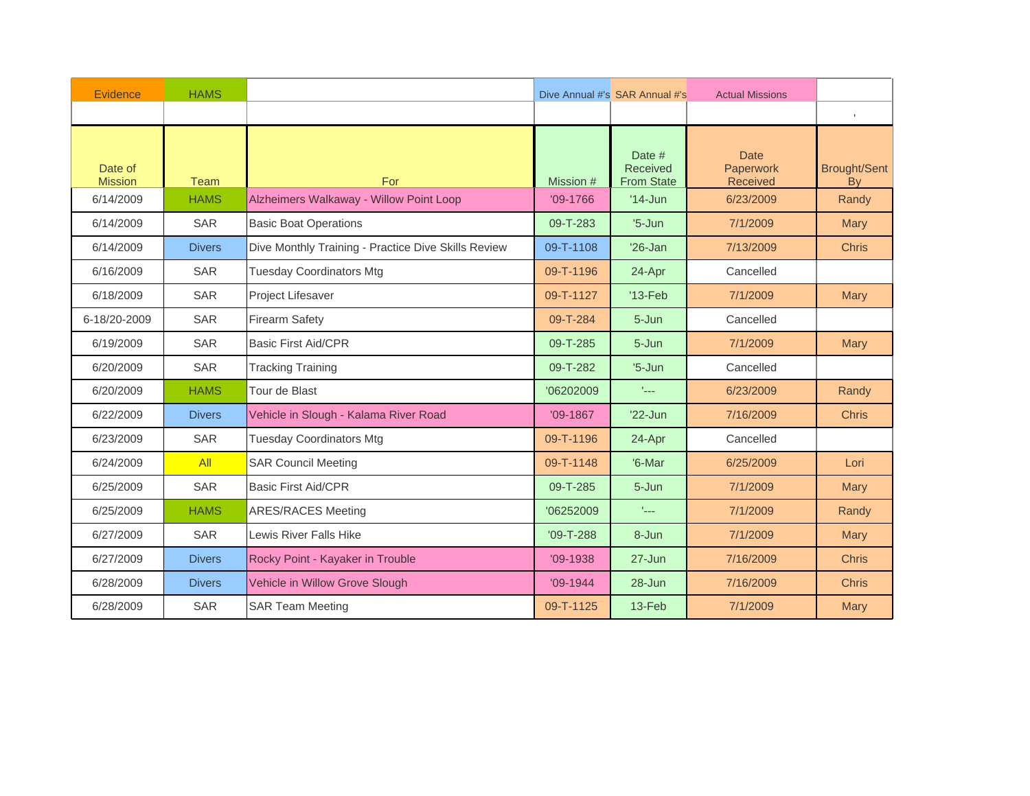| Evidence                  | <b>HAMS</b>   |                                                     |                 | Dive Annual #'s SAR Annual #'s<br><b>Actual Missions</b> |                                             |                           |
|---------------------------|---------------|-----------------------------------------------------|-----------------|----------------------------------------------------------|---------------------------------------------|---------------------------|
|                           |               |                                                     |                 |                                                          |                                             | $\mathbb{L}$              |
| Date of<br><b>Mission</b> | Team          | For                                                 | Mission #       | Date #<br>Received<br><b>From State</b>                  | <b>Date</b><br>Paperwork<br><b>Received</b> | <b>Brought/Sent</b><br>By |
| 6/14/2009                 | <b>HAMS</b>   | Alzheimers Walkaway - Willow Point Loop             | $'09-1766$      | $'14$ -Jun                                               | 6/23/2009                                   | Randy                     |
| 6/14/2009                 | <b>SAR</b>    | <b>Basic Boat Operations</b>                        | 09-T-283        | $'5$ -Jun                                                | 7/1/2009                                    | <b>Mary</b>               |
| 6/14/2009                 | <b>Divers</b> | Dive Monthly Training - Practice Dive Skills Review | 09-T-1108       | $'26$ -Jan                                               | 7/13/2009                                   | <b>Chris</b>              |
| 6/16/2009                 | <b>SAR</b>    | <b>Tuesday Coordinators Mtg</b>                     | 09-T-1196       | 24-Apr                                                   | Cancelled                                   |                           |
| 6/18/2009                 | <b>SAR</b>    | Project Lifesaver                                   | 09-T-1127       | $'13-Feb$                                                | 7/1/2009                                    | <b>Mary</b>               |
| 6-18/20-2009              | <b>SAR</b>    | <b>Firearm Safety</b>                               | 09-T-284        | 5-Jun                                                    | Cancelled                                   |                           |
| 6/19/2009                 | <b>SAR</b>    | <b>Basic First Aid/CPR</b>                          | 09-T-285        | 5-Jun                                                    | 7/1/2009                                    | <b>Mary</b>               |
| 6/20/2009                 | <b>SAR</b>    | <b>Tracking Training</b>                            | 09-T-282        | $'5$ -Jun                                                | Cancelled                                   |                           |
| 6/20/2009                 | <b>HAMS</b>   | Tour de Blast                                       | '06202009       | face.                                                    | 6/23/2009                                   | Randy                     |
| 6/22/2009                 | <b>Divers</b> | Vehicle in Slough - Kalama River Road               | $'09-1867$      | $'22$ -Jun                                               | 7/16/2009                                   | <b>Chris</b>              |
| 6/23/2009                 | <b>SAR</b>    | <b>Tuesday Coordinators Mtg</b>                     | 09-T-1196       | 24-Apr                                                   | Cancelled                                   |                           |
| 6/24/2009                 | All           | <b>SAR Council Meeting</b>                          | 09-T-1148       | '6-Mar                                                   | 6/25/2009                                   | Lori                      |
| 6/25/2009                 | <b>SAR</b>    | <b>Basic First Aid/CPR</b>                          | 09-T-285        | 5-Jun                                                    | 7/1/2009                                    | <b>Mary</b>               |
| 6/25/2009                 | <b>HAMS</b>   | <b>ARES/RACES Meeting</b>                           | '06252009       | $\mathbb{L}_{\text{max}}$                                | 7/1/2009                                    | Randy                     |
| 6/27/2009                 | <b>SAR</b>    | Lewis River Falls Hike                              | $'09 - T - 288$ | 8-Jun                                                    | 7/1/2009                                    | <b>Mary</b>               |
| 6/27/2009                 | <b>Divers</b> | Rocky Point - Kayaker in Trouble                    | $'09-1938$      | 27-Jun                                                   | 7/16/2009                                   | <b>Chris</b>              |
| 6/28/2009                 | <b>Divers</b> | Vehicle in Willow Grove Slough                      | $'09-1944$      | $28 - Jun$                                               | 7/16/2009                                   | <b>Chris</b>              |
| 6/28/2009                 | <b>SAR</b>    | <b>SAR Team Meeting</b>                             | 09-T-1125       | $13-Feb$                                                 | 7/1/2009                                    | <b>Mary</b>               |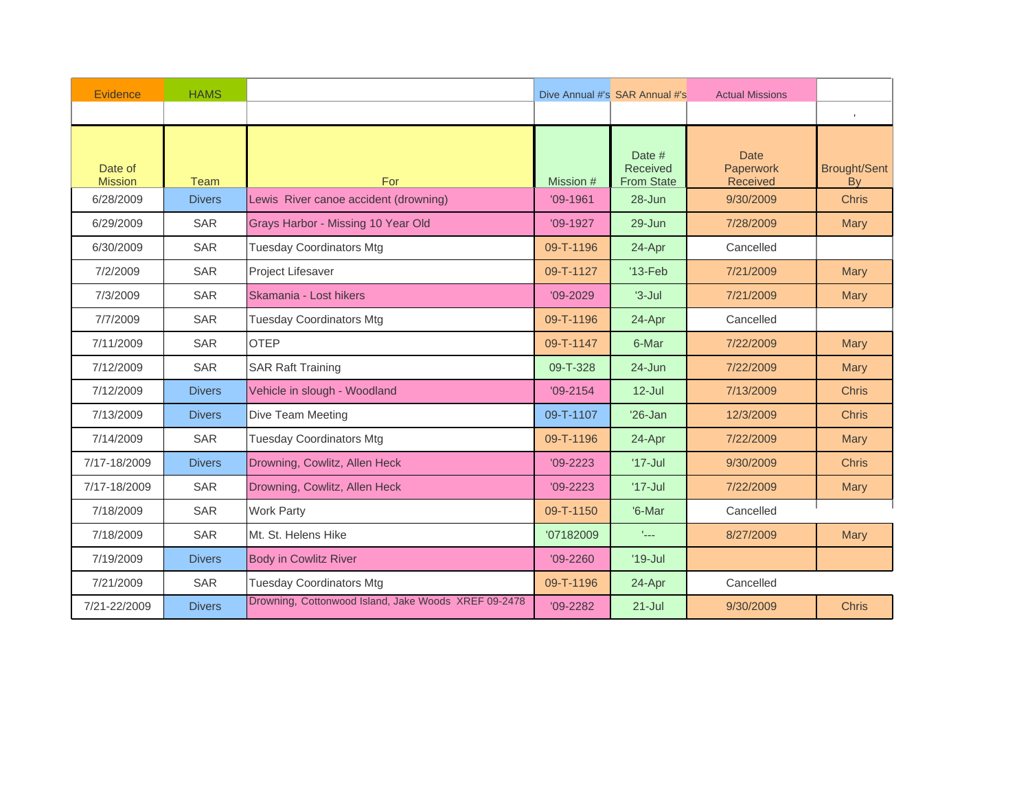| Evidence                  | <b>HAMS</b>   |                                                      | Dive Annual #'s SAR Annual #'s<br><b>Actual Missions</b> |                                         |                                             |                           |
|---------------------------|---------------|------------------------------------------------------|----------------------------------------------------------|-----------------------------------------|---------------------------------------------|---------------------------|
|                           |               |                                                      |                                                          |                                         |                                             | $\mathbb{L}$              |
| Date of<br><b>Mission</b> | Team          | For                                                  | Mission #                                                | Date #<br>Received<br><b>From State</b> | <b>Date</b><br>Paperwork<br><b>Received</b> | <b>Brought/Sent</b><br>By |
| 6/28/2009                 | <b>Divers</b> | Lewis River canoe accident (drowning)                | $'09-1961$                                               | 28-Jun                                  | 9/30/2009                                   | <b>Chris</b>              |
| 6/29/2009                 | <b>SAR</b>    | Grays Harbor - Missing 10 Year Old                   | $'09-1927$                                               | $29 - Jun$                              | 7/28/2009                                   | <b>Mary</b>               |
| 6/30/2009                 | <b>SAR</b>    | <b>Tuesday Coordinators Mtg</b>                      | 09-T-1196                                                | 24-Apr                                  | Cancelled                                   |                           |
| 7/2/2009                  | <b>SAR</b>    | Project Lifesaver                                    | 09-T-1127                                                | $'13-Feb$                               | 7/21/2009                                   | <b>Mary</b>               |
| 7/3/2009                  | <b>SAR</b>    | Skamania - Lost hikers                               | $'09 - 2029$                                             | $3 -$ Jul                               | 7/21/2009                                   | <b>Mary</b>               |
| 7/7/2009                  | <b>SAR</b>    | <b>Tuesday Coordinators Mtg</b>                      | 09-T-1196                                                | 24-Apr                                  | Cancelled                                   |                           |
| 7/11/2009                 | <b>SAR</b>    | <b>OTEP</b>                                          | 09-T-1147                                                | 6-Mar                                   | 7/22/2009                                   | <b>Mary</b>               |
| 7/12/2009                 | <b>SAR</b>    | <b>SAR Raft Training</b>                             | 09-T-328                                                 | 24-Jun                                  | 7/22/2009                                   | <b>Mary</b>               |
| 7/12/2009                 | <b>Divers</b> | Vehicle in slough - Woodland                         | $'09 - 2154$                                             | $12$ -Jul                               | 7/13/2009                                   | <b>Chris</b>              |
| 7/13/2009                 | <b>Divers</b> | Dive Team Meeting                                    | 09-T-1107                                                | $'26$ -Jan                              | 12/3/2009                                   | <b>Chris</b>              |
| 7/14/2009                 | <b>SAR</b>    | <b>Tuesday Coordinators Mtg</b>                      | 09-T-1196                                                | 24-Apr                                  | 7/22/2009                                   | <b>Mary</b>               |
| 7/17-18/2009              | <b>Divers</b> | Drowning, Cowlitz, Allen Heck                        | $'09 - 2223$                                             | $'17$ -Jul                              | 9/30/2009                                   | <b>Chris</b>              |
| 7/17-18/2009              | <b>SAR</b>    | Drowning, Cowlitz, Allen Heck                        | $'09 - 2223$                                             | $'17$ -Jul                              | 7/22/2009                                   | <b>Mary</b>               |
| 7/18/2009                 | <b>SAR</b>    | <b>Work Party</b>                                    | 09-T-1150                                                | '6-Mar                                  | Cancelled                                   |                           |
| 7/18/2009                 | <b>SAR</b>    | Mt. St. Helens Hike                                  | '07182009                                                | face.                                   | 8/27/2009                                   | <b>Mary</b>               |
| 7/19/2009                 | <b>Divers</b> | <b>Body in Cowlitz River</b>                         | $'09 - 2260$                                             | $'19$ -Jul                              |                                             |                           |
| 7/21/2009                 | SAR           | <b>Tuesday Coordinators Mtg</b>                      | 09-T-1196                                                | 24-Apr                                  | Cancelled                                   |                           |
| 7/21-22/2009              | <b>Divers</b> | Drowning, Cottonwood Island, Jake Woods XREF 09-2478 | $'09 - 2282$                                             | $21 -$ Jul                              | 9/30/2009                                   | <b>Chris</b>              |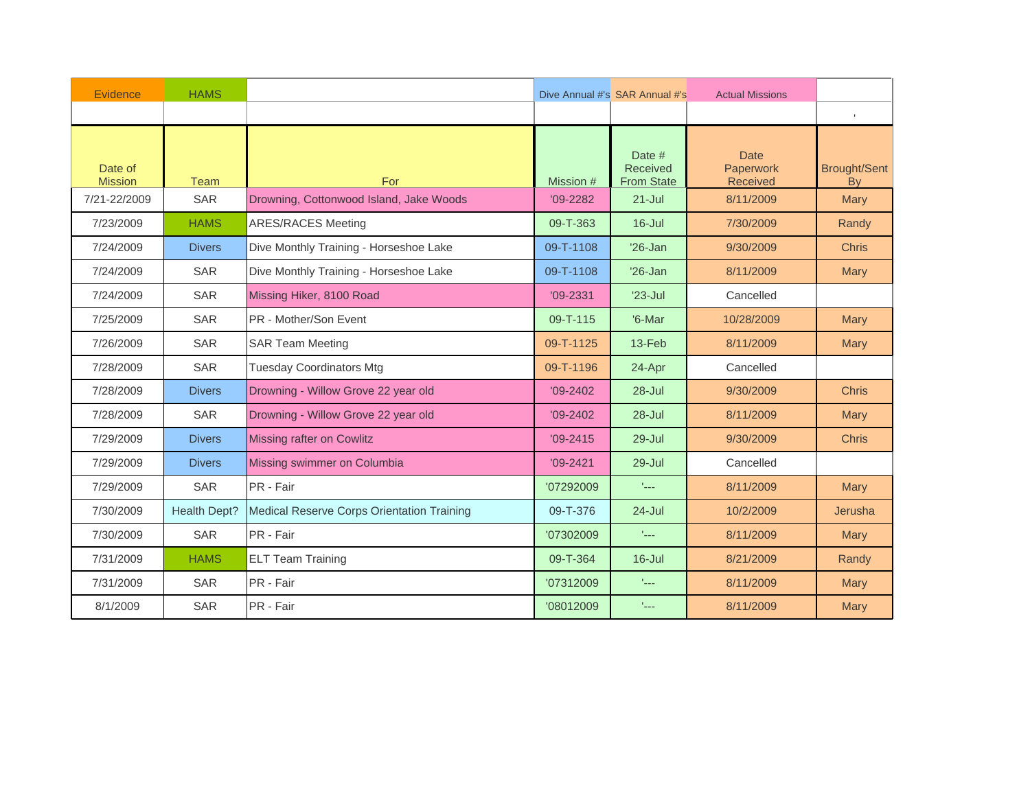| Evidence                  | <b>HAMS</b>         |                                            | Dive Annual #'s SAR Annual #'s<br><b>Actual Missions</b> |                                         |                                             |                           |
|---------------------------|---------------------|--------------------------------------------|----------------------------------------------------------|-----------------------------------------|---------------------------------------------|---------------------------|
|                           |                     |                                            |                                                          |                                         |                                             | $\mathbb{L}$              |
| Date of<br><b>Mission</b> | Team                | For                                        | Mission #                                                | Date #<br>Received<br><b>From State</b> | <b>Date</b><br>Paperwork<br><b>Received</b> | <b>Brought/Sent</b><br>By |
| 7/21-22/2009              | <b>SAR</b>          | Drowning, Cottonwood Island, Jake Woods    | $'09 - 2282$                                             | $21 -$ Jul                              | 8/11/2009                                   | <b>Mary</b>               |
| 7/23/2009                 | <b>HAMS</b>         | <b>ARES/RACES Meeting</b>                  | 09-T-363                                                 | $16 -$ Jul                              | 7/30/2009                                   | Randy                     |
| 7/24/2009                 | <b>Divers</b>       | Dive Monthly Training - Horseshoe Lake     | 09-T-1108                                                | $'26$ -Jan                              | 9/30/2009                                   | <b>Chris</b>              |
| 7/24/2009                 | <b>SAR</b>          | Dive Monthly Training - Horseshoe Lake     | 09-T-1108                                                | $'26$ -Jan                              | 8/11/2009                                   | Mary                      |
| 7/24/2009                 | <b>SAR</b>          | Missing Hiker, 8100 Road                   | $'09 - 2331$                                             | $'23$ -Jul                              | Cancelled                                   |                           |
| 7/25/2009                 | <b>SAR</b>          | PR - Mother/Son Event                      | 09-T-115                                                 | '6-Mar                                  | 10/28/2009                                  | Mary                      |
| 7/26/2009                 | <b>SAR</b>          | <b>SAR Team Meeting</b>                    | 09-T-1125                                                | $13-Feb$                                | 8/11/2009                                   | <b>Mary</b>               |
| 7/28/2009                 | <b>SAR</b>          | <b>Tuesday Coordinators Mtg</b>            | 09-T-1196                                                | 24-Apr                                  | Cancelled                                   |                           |
| 7/28/2009                 | <b>Divers</b>       | Drowning - Willow Grove 22 year old        | $'09 - 2402$                                             | $28 -$ Jul                              | 9/30/2009                                   | <b>Chris</b>              |
| 7/28/2009                 | <b>SAR</b>          | Drowning - Willow Grove 22 year old        | $'09 - 2402$                                             | 28-Jul                                  | 8/11/2009                                   | <b>Mary</b>               |
| 7/29/2009                 | <b>Divers</b>       | Missing rafter on Cowlitz                  | $'09 - 2415$                                             | 29-Jul                                  | 9/30/2009                                   | <b>Chris</b>              |
| 7/29/2009                 | <b>Divers</b>       | Missing swimmer on Columbia                | $'09 - 2421$                                             | $29 -$ Jul                              | Cancelled                                   |                           |
| 7/29/2009                 | <b>SAR</b>          | PR - Fair                                  | '07292009                                                | faas.                                   | 8/11/2009                                   | <b>Mary</b>               |
| 7/30/2009                 | <b>Health Dept?</b> | Medical Reserve Corps Orientation Training | 09-T-376                                                 | 24-Jul                                  | 10/2/2009                                   | Jerusha                   |
| 7/30/2009                 | <b>SAR</b>          | PR - Fair                                  | '07302009                                                | $\mathbb{L}_{\text{max}}$               | 8/11/2009                                   | <b>Mary</b>               |
| 7/31/2009                 | <b>HAMS</b>         | <b>ELT Team Training</b>                   | 09-T-364                                                 | $16$ -Jul                               | 8/21/2009                                   | Randy                     |
| 7/31/2009                 | <b>SAR</b>          | PR - Fair                                  | '07312009                                                | face.                                   | 8/11/2009                                   | <b>Mary</b>               |
| 8/1/2009                  | <b>SAR</b>          | PR - Fair                                  | '08012009                                                | $\mathcal{L}_{\text{max}}$              | 8/11/2009                                   | <b>Mary</b>               |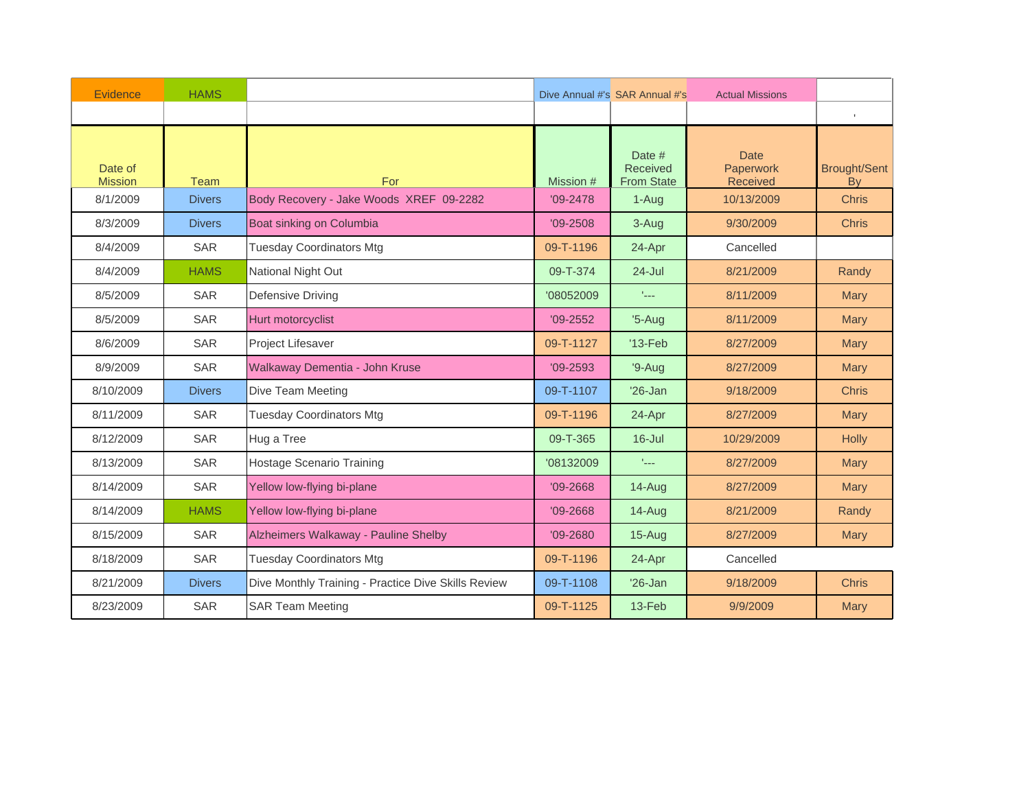| Evidence                  | <b>HAMS</b>   |                                                     | Dive Annual #'s SAR Annual #'s<br><b>Actual Missions</b> |                                         |                                             |                                  |
|---------------------------|---------------|-----------------------------------------------------|----------------------------------------------------------|-----------------------------------------|---------------------------------------------|----------------------------------|
|                           |               |                                                     |                                                          |                                         |                                             | $\mathbf{I}$                     |
| Date of<br><b>Mission</b> | <b>Team</b>   | For                                                 | Mission #                                                | Date #<br>Received<br><b>From State</b> | <b>Date</b><br>Paperwork<br><b>Received</b> | <b>Brought/Sent</b><br><b>By</b> |
| 8/1/2009                  | <b>Divers</b> | Body Recovery - Jake Woods XREF 09-2282             | $'09 - 2478$                                             | 1-Aug                                   | 10/13/2009                                  | <b>Chris</b>                     |
| 8/3/2009                  | <b>Divers</b> | Boat sinking on Columbia                            | $'09 - 2508$                                             | 3-Aug                                   | 9/30/2009                                   | <b>Chris</b>                     |
| 8/4/2009                  | <b>SAR</b>    | <b>Tuesday Coordinators Mtg</b>                     | 09-T-1196                                                | 24-Apr                                  | Cancelled                                   |                                  |
| 8/4/2009                  | <b>HAMS</b>   | National Night Out                                  | 09-T-374                                                 | $24 -$ Jul                              | 8/21/2009                                   | Randy                            |
| 8/5/2009                  | <b>SAR</b>    | Defensive Driving                                   | '08052009                                                | tale.                                   | 8/11/2009                                   | <b>Mary</b>                      |
| 8/5/2009                  | <b>SAR</b>    | Hurt motorcyclist                                   | $'09 - 2552$                                             | $'5$ -Aug                               | 8/11/2009                                   | <b>Mary</b>                      |
| 8/6/2009                  | <b>SAR</b>    | Project Lifesaver                                   | 09-T-1127                                                | $'13-Feb$                               | 8/27/2009                                   | Mary                             |
| 8/9/2009                  | <b>SAR</b>    | Walkaway Dementia - John Kruse                      | $'09 - 2593$                                             | $'9-Auq$                                | 8/27/2009                                   | <b>Mary</b>                      |
| 8/10/2009                 | <b>Divers</b> | Dive Team Meeting                                   | 09-T-1107                                                | $'26$ -Jan                              | 9/18/2009                                   | <b>Chris</b>                     |
| 8/11/2009                 | <b>SAR</b>    | <b>Tuesday Coordinators Mtg</b>                     | 09-T-1196                                                | 24-Apr                                  | 8/27/2009                                   | <b>Mary</b>                      |
| 8/12/2009                 | <b>SAR</b>    | Hug a Tree                                          | 09-T-365                                                 | $16$ -Jul                               | 10/29/2009                                  | <b>Holly</b>                     |
| 8/13/2009                 | <b>SAR</b>    | <b>Hostage Scenario Training</b>                    | '08132009                                                | $\mathbb{L}_{\text{max}}$               | 8/27/2009                                   | Mary                             |
| 8/14/2009                 | <b>SAR</b>    | Yellow low-flying bi-plane                          | $'09 - 2668$                                             | 14-Aug                                  | 8/27/2009                                   | <b>Mary</b>                      |
| 8/14/2009                 | <b>HAMS</b>   | Yellow low-flying bi-plane                          | $'09 - 2668$                                             | 14-Aug                                  | 8/21/2009                                   | Randy                            |
| 8/15/2009                 | <b>SAR</b>    | Alzheimers Walkaway - Pauline Shelby                | $'09 - 2680$                                             | $15 - Aug$                              | 8/27/2009                                   | <b>Mary</b>                      |
| 8/18/2009                 | <b>SAR</b>    | <b>Tuesday Coordinators Mtg</b>                     | 09-T-1196                                                | 24-Apr                                  | Cancelled                                   |                                  |
| 8/21/2009                 | <b>Divers</b> | Dive Monthly Training - Practice Dive Skills Review | 09-T-1108                                                | $'26$ -Jan                              | 9/18/2009                                   | <b>Chris</b>                     |
| 8/23/2009                 | <b>SAR</b>    | <b>SAR Team Meeting</b>                             | 09-T-1125                                                | 13-Feb                                  | 9/9/2009                                    | <b>Mary</b>                      |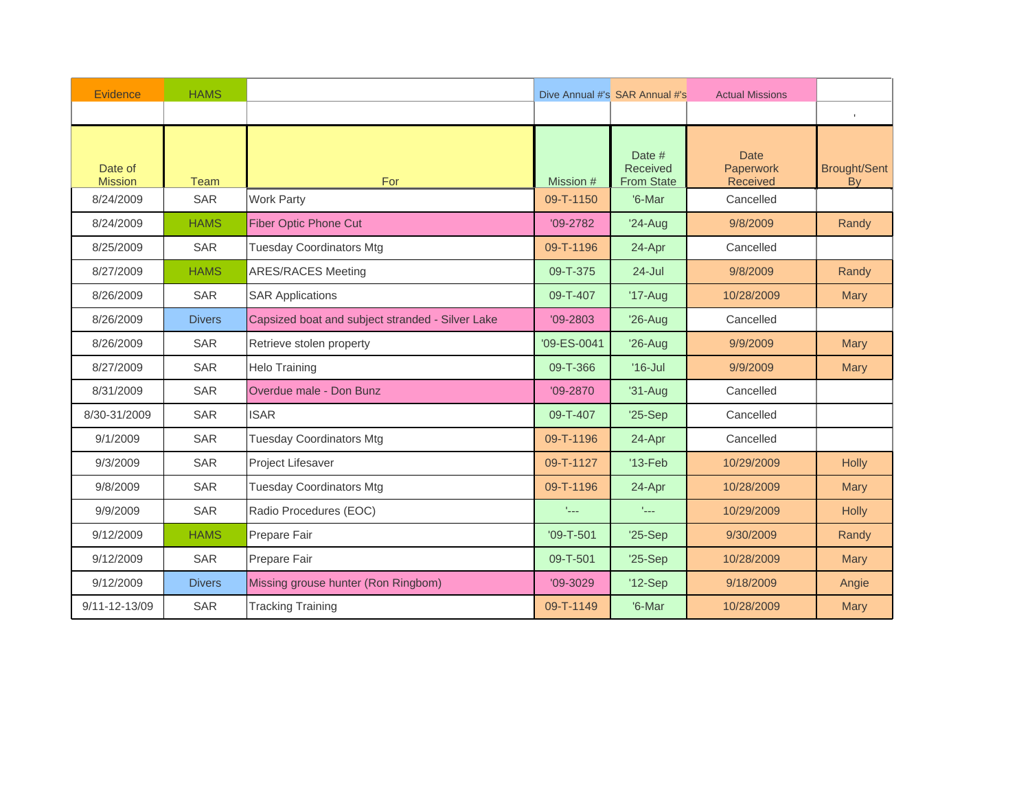| Evidence                  | <b>HAMS</b>   |                                                  | Dive Annual #'s SAR Annual #'s<br><b>Actual Missions</b> |                                         |                                             |                                  |
|---------------------------|---------------|--------------------------------------------------|----------------------------------------------------------|-----------------------------------------|---------------------------------------------|----------------------------------|
|                           |               |                                                  |                                                          |                                         |                                             | $\mathbb{L}$                     |
| Date of<br><b>Mission</b> | Team          | For                                              | Mission #                                                | Date #<br>Received<br><b>From State</b> | <b>Date</b><br>Paperwork<br><b>Received</b> | <b>Brought/Sent</b><br><b>By</b> |
| 8/24/2009                 | <b>SAR</b>    | <b>Work Party</b>                                | 09-T-1150                                                | '6-Mar                                  | Cancelled                                   |                                  |
| 8/24/2009                 | <b>HAMS</b>   | <b>Fiber Optic Phone Cut</b>                     | $'09-2782$                                               | $'24-Auq$                               | 9/8/2009                                    | Randy                            |
| 8/25/2009                 | <b>SAR</b>    | <b>Tuesday Coordinators Mtg</b>                  | 09-T-1196                                                | 24-Apr                                  | Cancelled                                   |                                  |
| 8/27/2009                 | <b>HAMS</b>   | <b>ARES/RACES Meeting</b>                        | 09-T-375                                                 | $24 -$ Jul                              | 9/8/2009                                    | Randy                            |
| 8/26/2009                 | <b>SAR</b>    | <b>SAR Applications</b>                          | 09-T-407                                                 | $'17$ -Aug                              | 10/28/2009                                  | <b>Mary</b>                      |
| 8/26/2009                 | <b>Divers</b> | Capsized boat and subject stranded - Silver Lake | $'09 - 2803$                                             | $'26$ -Aug                              | Cancelled                                   |                                  |
| 8/26/2009                 | <b>SAR</b>    | Retrieve stolen property                         | '09-ES-0041                                              | $'26$ -Aug                              | 9/9/2009                                    | Mary                             |
| 8/27/2009                 | <b>SAR</b>    | <b>Helo Training</b>                             | 09-T-366                                                 | $'16$ -Jul                              | 9/9/2009                                    | <b>Mary</b>                      |
| 8/31/2009                 | <b>SAR</b>    | Overdue male - Don Bunz                          | $'09 - 2870$                                             | $'31-Aug$                               | Cancelled                                   |                                  |
| 8/30-31/2009              | <b>SAR</b>    | <b>ISAR</b>                                      | 09-T-407                                                 | $'25-Sep$                               | Cancelled                                   |                                  |
| 9/1/2009                  | <b>SAR</b>    | <b>Tuesday Coordinators Mtg</b>                  | 09-T-1196                                                | 24-Apr                                  | Cancelled                                   |                                  |
| 9/3/2009                  | <b>SAR</b>    | Project Lifesaver                                | 09-T-1127                                                | $'13-Feb$                               | 10/29/2009                                  | <b>Holly</b>                     |
| 9/8/2009                  | <b>SAR</b>    | <b>Tuesday Coordinators Mtg</b>                  | 09-T-1196                                                | 24-Apr                                  | 10/28/2009                                  | <b>Mary</b>                      |
| 9/9/2009                  | <b>SAR</b>    | Radio Procedures (EOC)                           | $\mathbf{r}_{\text{max}}$                                | $\mathbf{r}_{\text{max}}$               | 10/29/2009                                  | <b>Holly</b>                     |
| 9/12/2009                 | <b>HAMS</b>   | Prepare Fair                                     | $'09 - T - 501$                                          | $'25-Sep$                               | 9/30/2009                                   | Randy                            |
| 9/12/2009                 | <b>SAR</b>    | Prepare Fair                                     | 09-T-501                                                 | $'25-Sep$                               | 10/28/2009                                  | <b>Mary</b>                      |
| 9/12/2009                 | <b>Divers</b> | Missing grouse hunter (Ron Ringbom)              | $'09-3029$                                               | $'12-Sep$                               | 9/18/2009                                   | Angie                            |
| $9/11 - 12 - 13/09$       | <b>SAR</b>    | <b>Tracking Training</b>                         | 09-T-1149                                                | '6-Mar                                  | 10/28/2009                                  | <b>Mary</b>                      |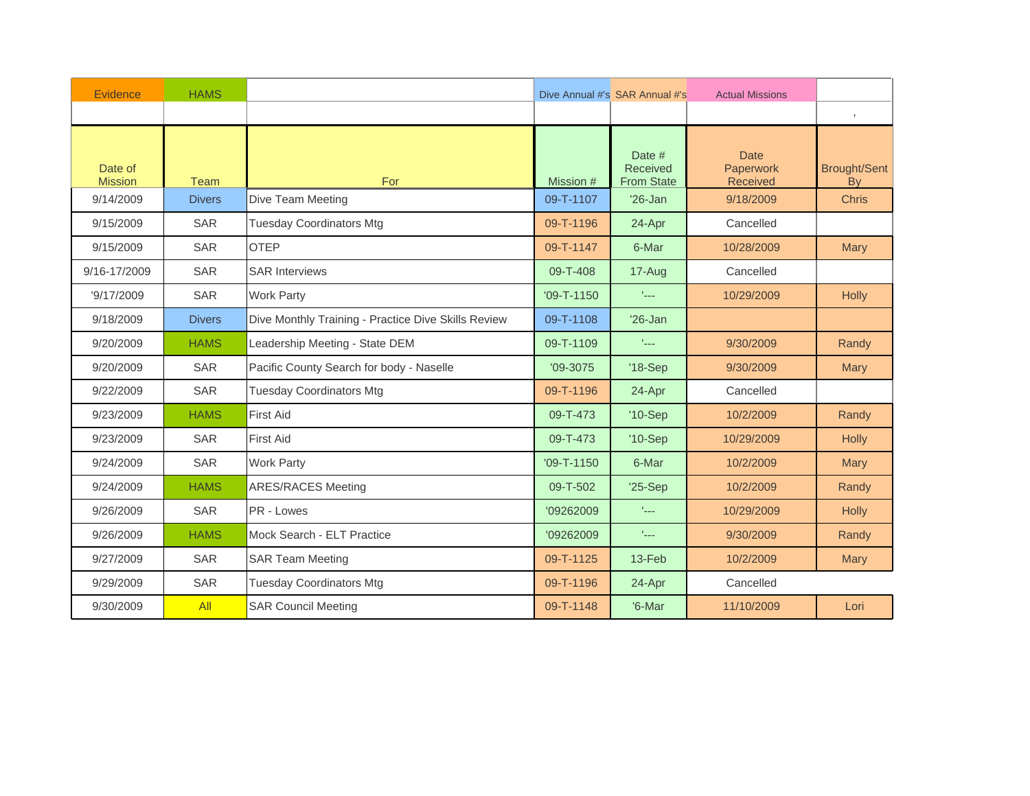| Evidence                  | <b>HAMS</b>   |                                                     | Dive Annual #'s SAR Annual #'s<br><b>Actual Missions</b> |                                         |                                      |                                  |
|---------------------------|---------------|-----------------------------------------------------|----------------------------------------------------------|-----------------------------------------|--------------------------------------|----------------------------------|
|                           |               |                                                     |                                                          |                                         |                                      | $\mathbb{L}$                     |
| Date of<br><b>Mission</b> | <b>Team</b>   | For                                                 | Mission #                                                | Date #<br>Received<br><b>From State</b> | <b>Date</b><br>Paperwork<br>Received | <b>Brought/Sent</b><br><b>By</b> |
| 9/14/2009                 | <b>Divers</b> | Dive Team Meeting                                   | 09-T-1107                                                | $'26$ -Jan                              | 9/18/2009                            | <b>Chris</b>                     |
| 9/15/2009                 | SAR           | <b>Tuesday Coordinators Mtg</b>                     | 09-T-1196                                                | 24-Apr                                  | Cancelled                            |                                  |
| 9/15/2009                 | <b>SAR</b>    | <b>OTEP</b>                                         | 09-T-1147                                                | 6-Mar                                   | 10/28/2009                           | Mary                             |
| 9/16-17/2009              | <b>SAR</b>    | <b>SAR Interviews</b>                               | 09-T-408                                                 | 17-Aug                                  | Cancelled                            |                                  |
| '9/17/2009                | SAR           | <b>Work Party</b>                                   | $'09 - T - 1150$                                         | $\mathcal{L}_{\text{max}}$              | 10/29/2009                           | <b>Holly</b>                     |
| 9/18/2009                 | <b>Divers</b> | Dive Monthly Training - Practice Dive Skills Review | 09-T-1108                                                | $'26$ -Jan                              |                                      |                                  |
| 9/20/2009                 | <b>HAMS</b>   | Leadership Meeting - State DEM                      | 09-T-1109                                                | $\mathcal{L}_{\text{max}}$              | 9/30/2009                            | Randy                            |
| 9/20/2009                 | <b>SAR</b>    | Pacific County Search for body - Naselle            | $'09-3075$                                               | '18-Sep                                 | 9/30/2009                            | <b>Mary</b>                      |
| 9/22/2009                 | <b>SAR</b>    | <b>Tuesday Coordinators Mtg</b>                     | 09-T-1196                                                | 24-Apr                                  | Cancelled                            |                                  |
| 9/23/2009                 | <b>HAMS</b>   | <b>First Aid</b>                                    | 09-T-473                                                 | $'10-Sep$                               | 10/2/2009                            | Randy                            |
| 9/23/2009                 | <b>SAR</b>    | <b>First Aid</b>                                    | 09-T-473                                                 | $'10-Sep$                               | 10/29/2009                           | <b>Holly</b>                     |
| 9/24/2009                 | <b>SAR</b>    | <b>Work Party</b>                                   | $'09 - T - 1150$                                         | 6-Mar                                   | 10/2/2009                            | <b>Mary</b>                      |
| 9/24/2009                 | <b>HAMS</b>   | <b>ARES/RACES Meeting</b>                           | 09-T-502                                                 | $'25-Sep$                               | 10/2/2009                            | Randy                            |
| 9/26/2009                 | <b>SAR</b>    | PR - Lowes                                          | '09262009                                                | $\mathcal{L}_{\text{max}}$              | 10/29/2009                           | <b>Holly</b>                     |
| 9/26/2009                 | <b>HAMS</b>   | Mock Search - ELT Practice                          | '09262009                                                | face.                                   | 9/30/2009                            | Randy                            |
| 9/27/2009                 | <b>SAR</b>    | <b>SAR Team Meeting</b>                             | 09-T-1125                                                | $13-Feb$                                | 10/2/2009                            | <b>Mary</b>                      |
| 9/29/2009                 | <b>SAR</b>    | <b>Tuesday Coordinators Mtg</b>                     | 09-T-1196                                                | 24-Apr                                  | Cancelled                            |                                  |
| 9/30/2009                 | All           | <b>SAR Council Meeting</b>                          | 09-T-1148                                                | '6-Mar                                  | 11/10/2009                           | Lori                             |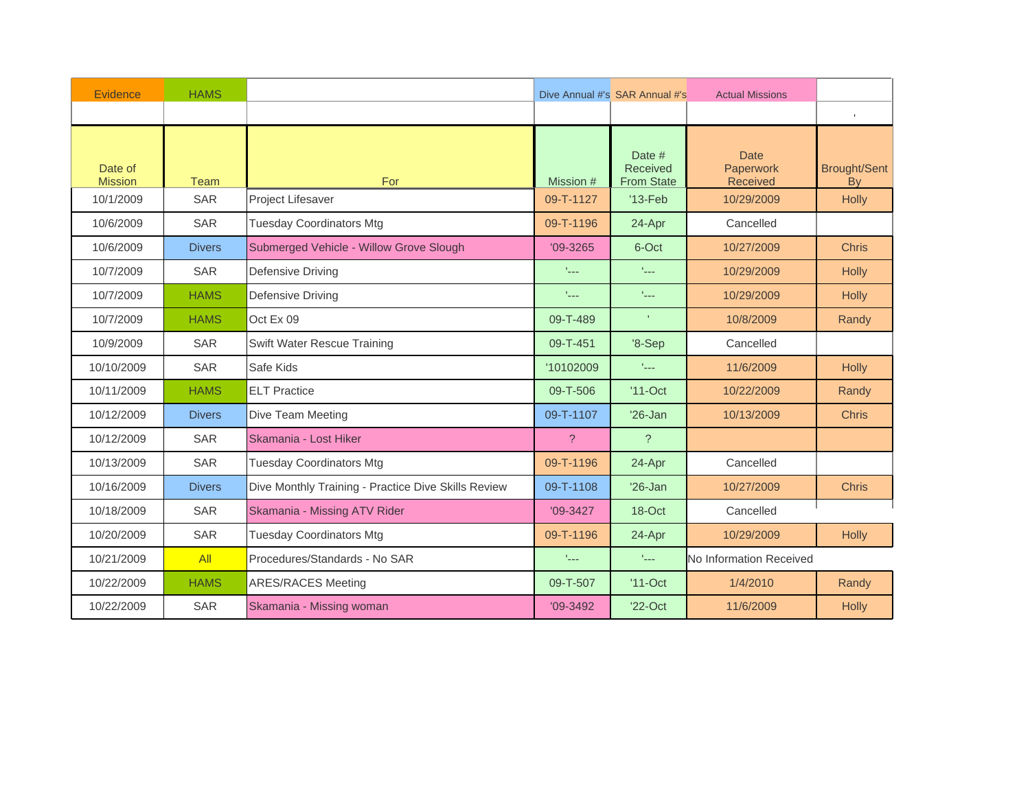| Evidence                  | <b>HAMS</b>   |                                                     | Dive Annual #'s SAR Annual #'s<br><b>Actual Missions</b> |                                                |                                             |                                  |
|---------------------------|---------------|-----------------------------------------------------|----------------------------------------------------------|------------------------------------------------|---------------------------------------------|----------------------------------|
|                           |               |                                                     |                                                          |                                                |                                             | $\mathbb{L}$                     |
| Date of<br><b>Mission</b> | Team          | For                                                 | Mission #                                                | Date #<br><b>Received</b><br><b>From State</b> | <b>Date</b><br>Paperwork<br><b>Received</b> | <b>Brought/Sent</b><br><b>By</b> |
| 10/1/2009                 | <b>SAR</b>    | <b>Project Lifesaver</b>                            | 09-T-1127                                                | $'13-Feb$                                      | 10/29/2009                                  | <b>Holly</b>                     |
| 10/6/2009                 | <b>SAR</b>    | <b>Tuesday Coordinators Mtg</b>                     | 09-T-1196                                                | 24-Apr                                         | Cancelled                                   |                                  |
| 10/6/2009                 | <b>Divers</b> | Submerged Vehicle - Willow Grove Slough             | $'09 - 3265$                                             | 6-Oct                                          | 10/27/2009                                  | <b>Chris</b>                     |
| 10/7/2009                 | <b>SAR</b>    | Defensive Driving                                   | $L_{\rm max}$                                            | face.                                          | 10/29/2009                                  | <b>Holly</b>                     |
| 10/7/2009                 | <b>HAMS</b>   | Defensive Driving                                   | $\mathbf{r}_{\text{max}}$                                | tale.                                          | 10/29/2009                                  | <b>Holly</b>                     |
| 10/7/2009                 | <b>HAMS</b>   | Oct Ex 09                                           | 09-T-489                                                 |                                                | 10/8/2009                                   | Randy                            |
| 10/9/2009                 | <b>SAR</b>    | <b>Swift Water Rescue Training</b>                  | 09-T-451                                                 | $8-Sep$                                        | Cancelled                                   |                                  |
| 10/10/2009                | SAR           | Safe Kids                                           | '10102009                                                | tale.                                          | 11/6/2009                                   | <b>Holly</b>                     |
| 10/11/2009                | <b>HAMS</b>   | <b>ELT Practice</b>                                 | 09-T-506                                                 | $'11$ -Oct                                     | 10/22/2009                                  | Randy                            |
| 10/12/2009                | <b>Divers</b> | Dive Team Meeting                                   | 09-T-1107                                                | $'26$ -Jan                                     | 10/13/2009                                  | <b>Chris</b>                     |
| 10/12/2009                | <b>SAR</b>    | Skamania - Lost Hiker                               | $\overline{?}$                                           | $\overline{?}$                                 |                                             |                                  |
| 10/13/2009                | SAR           | <b>Tuesday Coordinators Mtg</b>                     | 09-T-1196                                                | 24-Apr                                         | Cancelled                                   |                                  |
| 10/16/2009                | <b>Divers</b> | Dive Monthly Training - Practice Dive Skills Review | 09-T-1108                                                | $'26$ -Jan                                     | 10/27/2009                                  | <b>Chris</b>                     |
| 10/18/2009                | <b>SAR</b>    | Skamania - Missing ATV Rider                        | $'09-3427$                                               | 18-Oct                                         | Cancelled                                   |                                  |
| 10/20/2009                | <b>SAR</b>    | <b>Tuesday Coordinators Mtg</b>                     | 09-T-1196                                                | 24-Apr                                         | 10/29/2009                                  | Holly                            |
| 10/21/2009                | All           | Procedures/Standards - No SAR                       | $L_{\rm max}$                                            | $\mathbf{r}_{\text{max}}$                      | No Information Received                     |                                  |
| 10/22/2009                | <b>HAMS</b>   | <b>ARES/RACES Meeting</b>                           | 09-T-507                                                 | $'11$ -Oct                                     | 1/4/2010                                    | Randy                            |
| 10/22/2009                | <b>SAR</b>    | Skamania - Missing woman                            | $'09 - 3492$                                             | $'22$ -Oct                                     | 11/6/2009                                   | Holly                            |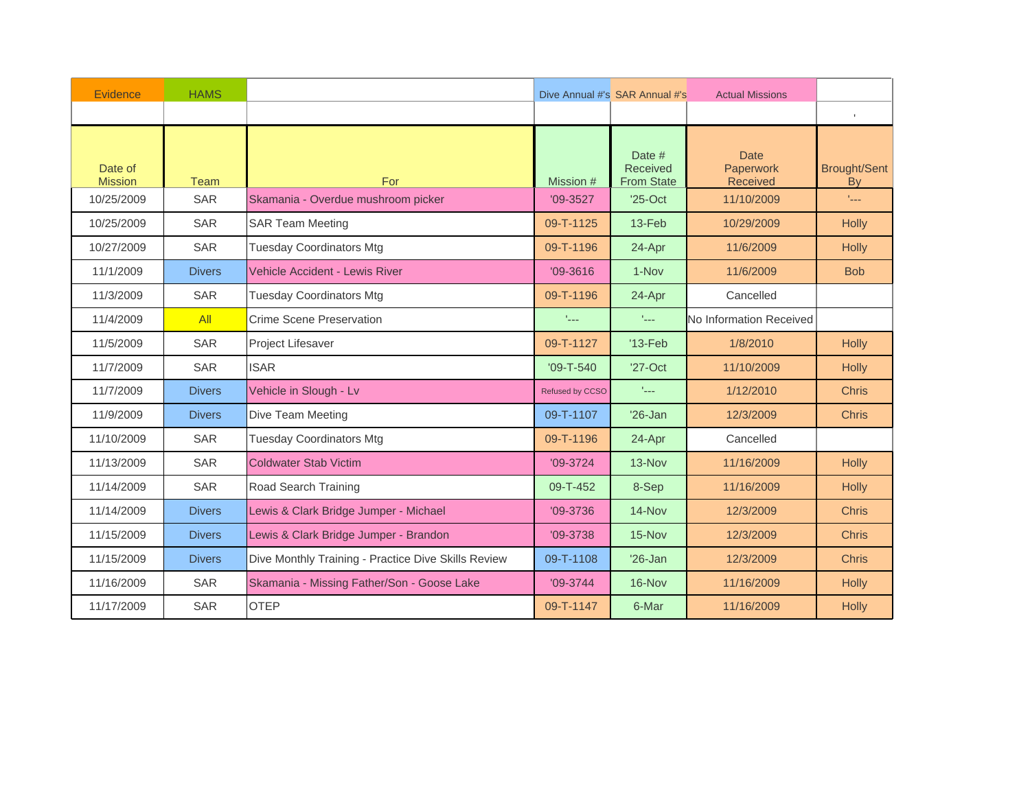| Evidence                  | <b>HAMS</b>   |                                                     | Dive Annual #'s SAR Annual #'s<br><b>Actual Missions</b> |                                         |                                             |                                  |
|---------------------------|---------------|-----------------------------------------------------|----------------------------------------------------------|-----------------------------------------|---------------------------------------------|----------------------------------|
|                           |               |                                                     |                                                          |                                         |                                             | $\mathbf{I}$                     |
| Date of<br><b>Mission</b> | Team          | For                                                 | Mission #                                                | Date #<br>Received<br><b>From State</b> | <b>Date</b><br>Paperwork<br><b>Received</b> | <b>Brought/Sent</b><br><b>By</b> |
| 10/25/2009                | <b>SAR</b>    | Skamania - Overdue mushroom picker                  | $'09-3527$                                               | $'25$ -Oct                              | 11/10/2009                                  | t <sub>an</sub>                  |
| 10/25/2009                | SAR           | <b>SAR Team Meeting</b>                             | 09-T-1125                                                | $13-Feb$                                | 10/29/2009                                  | <b>Holly</b>                     |
| 10/27/2009                | <b>SAR</b>    | <b>Tuesday Coordinators Mtg</b>                     | 09-T-1196                                                | 24-Apr                                  | 11/6/2009                                   | <b>Holly</b>                     |
| 11/1/2009                 | <b>Divers</b> | <b>Vehicle Accident - Lewis River</b>               | $'09 - 3616$                                             | 1-Nov                                   | 11/6/2009                                   | <b>Bob</b>                       |
| 11/3/2009                 | <b>SAR</b>    | <b>Tuesday Coordinators Mtg</b>                     | 09-T-1196                                                | 24-Apr                                  | Cancelled                                   |                                  |
| 11/4/2009                 | All           | Crime Scene Preservation                            | 1222                                                     | face.                                   | No Information Received                     |                                  |
| 11/5/2009                 | <b>SAR</b>    | Project Lifesaver                                   | 09-T-1127                                                | $'13-Feb$                               | 1/8/2010                                    | Holly                            |
| 11/7/2009                 | <b>SAR</b>    | <b>ISAR</b>                                         | $'09 - T - 540$                                          | $'27$ -Oct                              | 11/10/2009                                  | <b>Holly</b>                     |
| 11/7/2009                 | <b>Divers</b> | Vehicle in Slough - Lv                              | Refused by CCSO                                          | $\mathcal{L}_{\text{max}}$              | 1/12/2010                                   | <b>Chris</b>                     |
| 11/9/2009                 | <b>Divers</b> | Dive Team Meeting                                   | 09-T-1107                                                | $'26$ -Jan                              | 12/3/2009                                   | <b>Chris</b>                     |
| 11/10/2009                | <b>SAR</b>    | <b>Tuesday Coordinators Mtg</b>                     | 09-T-1196                                                | 24-Apr                                  | Cancelled                                   |                                  |
| 11/13/2009                | <b>SAR</b>    | <b>Coldwater Stab Victim</b>                        | $'09-3724$                                               | 13-Nov                                  | 11/16/2009                                  | <b>Holly</b>                     |
| 11/14/2009                | <b>SAR</b>    | Road Search Training                                | 09-T-452                                                 | 8-Sep                                   | 11/16/2009                                  | <b>Holly</b>                     |
| 11/14/2009                | <b>Divers</b> | Lewis & Clark Bridge Jumper - Michael               | $'09-3736$                                               | $14-Nov$                                | 12/3/2009                                   | <b>Chris</b>                     |
| 11/15/2009                | <b>Divers</b> | Lewis & Clark Bridge Jumper - Brandon               | $'09-3738$                                               | 15-Nov                                  | 12/3/2009                                   | <b>Chris</b>                     |
| 11/15/2009                | <b>Divers</b> | Dive Monthly Training - Practice Dive Skills Review | 09-T-1108                                                | $'26$ -Jan                              | 12/3/2009                                   | <b>Chris</b>                     |
| 11/16/2009                | <b>SAR</b>    | Skamania - Missing Father/Son - Goose Lake          | $'09-3744$                                               | 16-Nov                                  | 11/16/2009                                  | Holly                            |
| 11/17/2009                | <b>SAR</b>    | <b>OTEP</b>                                         | 09-T-1147                                                | 6-Mar                                   | 11/16/2009                                  | Holly                            |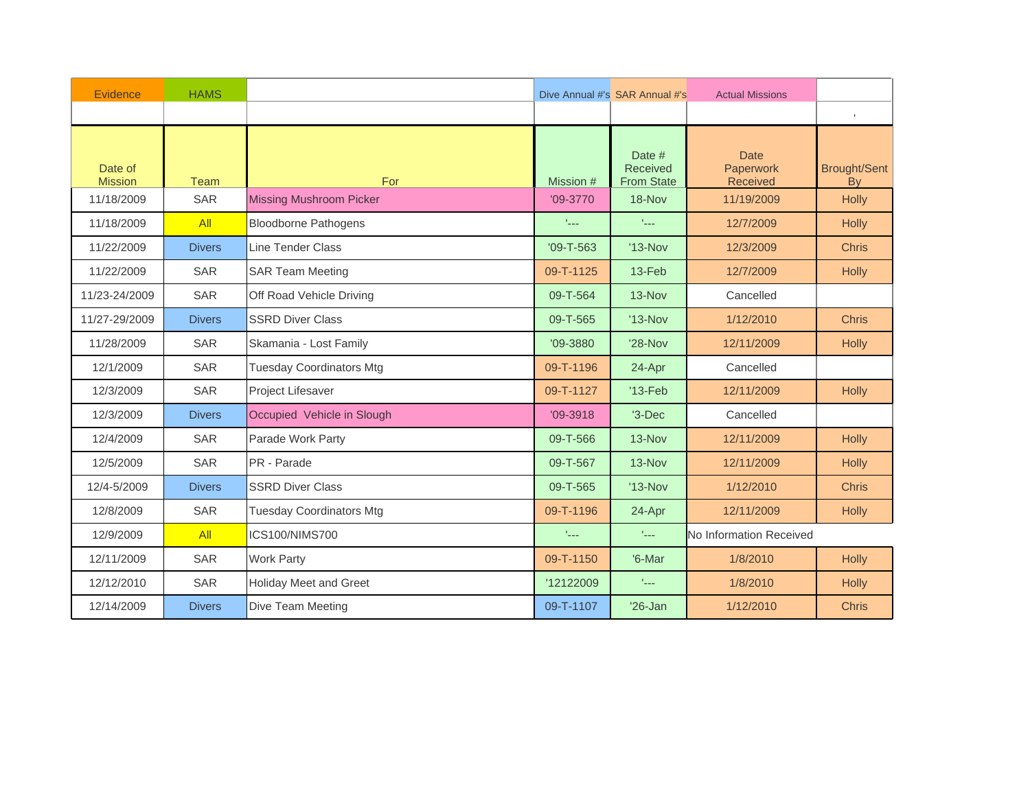| Evidence                  | <b>HAMS</b>   |                                 | Dive Annual #'s SAR Annual #'s<br><b>Actual Missions</b> |                                                |                                      |                                  |
|---------------------------|---------------|---------------------------------|----------------------------------------------------------|------------------------------------------------|--------------------------------------|----------------------------------|
|                           |               |                                 |                                                          |                                                |                                      | $\mathbb{L}$                     |
| Date of<br><b>Mission</b> | <b>Team</b>   | <b>For</b>                      | Mission #                                                | Date #<br><b>Received</b><br><b>From State</b> | <b>Date</b><br>Paperwork<br>Received | <b>Brought/Sent</b><br><b>By</b> |
| 11/18/2009                | SAR           | <b>Missing Mushroom Picker</b>  | $'09-3770$                                               | 18-Nov                                         | 11/19/2009                           | Holly                            |
| 11/18/2009                | All           | <b>Bloodborne Pathogens</b>     | $\mathcal{I}_{\text{max}}$                               | $\mathcal{L}_{\text{max}}$                     | 12/7/2009                            | <b>Holly</b>                     |
| 11/22/2009                | <b>Divers</b> | Line Tender Class               | $'09 - T - 563$                                          | $'13-Nov$                                      | 12/3/2009                            | <b>Chris</b>                     |
| 11/22/2009                | <b>SAR</b>    | <b>SAR Team Meeting</b>         | 09-T-1125                                                | 13-Feb                                         | 12/7/2009                            | Holly                            |
| 11/23-24/2009             | <b>SAR</b>    | Off Road Vehicle Driving        | 09-T-564                                                 | 13-Nov                                         | Cancelled                            |                                  |
| 11/27-29/2009             | <b>Divers</b> | <b>SSRD Diver Class</b>         | 09-T-565                                                 | $'13-Nov$                                      | 1/12/2010                            | <b>Chris</b>                     |
| 11/28/2009                | <b>SAR</b>    | Skamania - Lost Family          | '09-3880                                                 | $'28-Nov$                                      | 12/11/2009                           | Holly                            |
| 12/1/2009                 | <b>SAR</b>    | <b>Tuesday Coordinators Mtg</b> | 09-T-1196                                                | 24-Apr                                         | Cancelled                            |                                  |
| 12/3/2009                 | <b>SAR</b>    | Project Lifesaver               | 09-T-1127                                                | $'13-Feb$                                      | 12/11/2009                           | <b>Holly</b>                     |
| 12/3/2009                 | <b>Divers</b> | Occupied Vehicle in Slough      | $'09 - 3918$                                             | $'3-Dec$                                       | Cancelled                            |                                  |
| 12/4/2009                 | <b>SAR</b>    | Parade Work Party               | 09-T-566                                                 | $13-Nov$                                       | 12/11/2009                           | Holly                            |
| 12/5/2009                 | <b>SAR</b>    | PR - Parade                     | 09-T-567                                                 | $13-Nov$                                       | 12/11/2009                           | Holly                            |
| 12/4-5/2009               | <b>Divers</b> | <b>SSRD Diver Class</b>         | 09-T-565                                                 | $'13-Nov$                                      | 1/12/2010                            | <b>Chris</b>                     |
| 12/8/2009                 | <b>SAR</b>    | <b>Tuesday Coordinators Mtg</b> | 09-T-1196                                                | 24-Apr                                         | 12/11/2009                           | <b>Holly</b>                     |
| 12/9/2009                 | All           | ICS100/NIMS700                  | t <sub>an</sub>                                          | $\mathbf{r}_{\text{max}}$                      | No Information Received              |                                  |
| 12/11/2009                | SAR           | <b>Work Party</b>               | 09-T-1150                                                | '6-Mar                                         | 1/8/2010                             | Holly                            |
| 12/12/2010                | SAR           | <b>Holiday Meet and Greet</b>   | '12122009                                                | face.                                          | 1/8/2010                             | <b>Holly</b>                     |
| 12/14/2009                | <b>Divers</b> | Dive Team Meeting               | 09-T-1107                                                | $'26$ -Jan                                     | 1/12/2010                            | <b>Chris</b>                     |